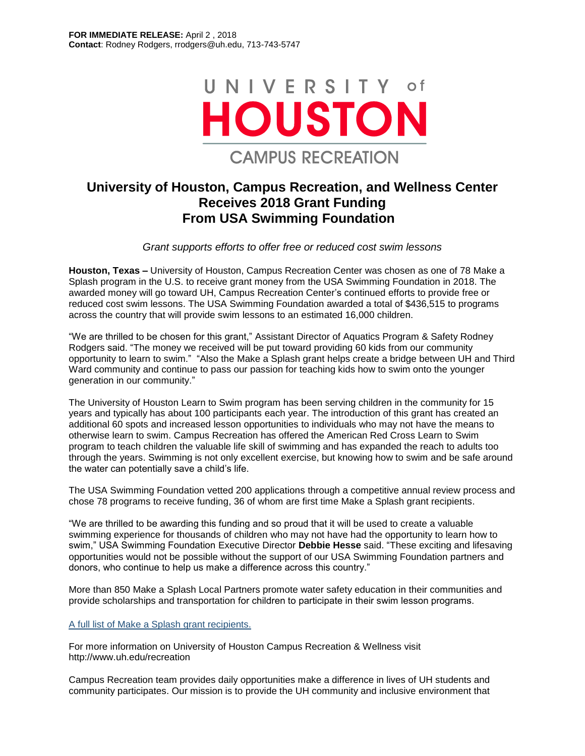## UNIVERSITY of **HOUSTON CAMPUS RECREATION**

## **University of Houston, Campus Recreation, and Wellness Center Receives 2018 Grant Funding From USA Swimming Foundation**

*Grant supports efforts to offer free or reduced cost swim lessons*

**Houston, Texas –** University of Houston, Campus Recreation Center was chosen as one of 78 Make a Splash program in the U.S. to receive grant money from the USA Swimming Foundation in 2018. The awarded money will go toward UH, Campus Recreation Center's continued efforts to provide free or reduced cost swim lessons. The USA Swimming Foundation awarded a total of \$436,515 to programs across the country that will provide swim lessons to an estimated 16,000 children.

"We are thrilled to be chosen for this grant," Assistant Director of Aquatics Program & Safety Rodney Rodgers said. "The money we received will be put toward providing 60 kids from our community opportunity to learn to swim." "Also the Make a Splash grant helps create a bridge between UH and Third Ward community and continue to pass our passion for teaching kids how to swim onto the younger generation in our community."

The University of Houston Learn to Swim program has been serving children in the community for 15 years and typically has about 100 participants each year. The introduction of this grant has created an additional 60 spots and increased lesson opportunities to individuals who may not have the means to otherwise learn to swim. Campus Recreation has offered the American Red Cross Learn to Swim program to teach children the valuable life skill of swimming and has expanded the reach to adults too through the years. Swimming is not only excellent exercise, but knowing how to swim and be safe around the water can potentially save a child's life.

The USA Swimming Foundation vetted 200 applications through a competitive annual review process and chose 78 programs to receive funding, 36 of whom are first time Make a Splash grant recipients.

"We are thrilled to be awarding this funding and so proud that it will be used to create a valuable swimming experience for thousands of children who may not have had the opportunity to learn how to swim," USA Swimming Foundation Executive Director **Debbie Hesse** said. "These exciting and lifesaving opportunities would not be possible without the support of our USA Swimming Foundation partners and donors, who continue to help us make a difference across this country."

More than 850 Make a Splash Local Partners promote water safety education in their communities and provide scholarships and transportation for children to participate in their swim lesson programs. 

## [A full list of Make a Splash grant recipients.](https://www.usaswimming.org/news-landing-page/2018/03/27/usa-swimming-foundation-awards-over-$436-000-in-2018-grant-funding-for-make-a-splash-local-partners)

For more information on University of Houston Campus Recreation & Wellness visit http://www.uh.edu/recreation

Campus Recreation team provides daily opportunities make a difference in lives of UH students and community participates. Our mission is to provide the UH community and inclusive environment that